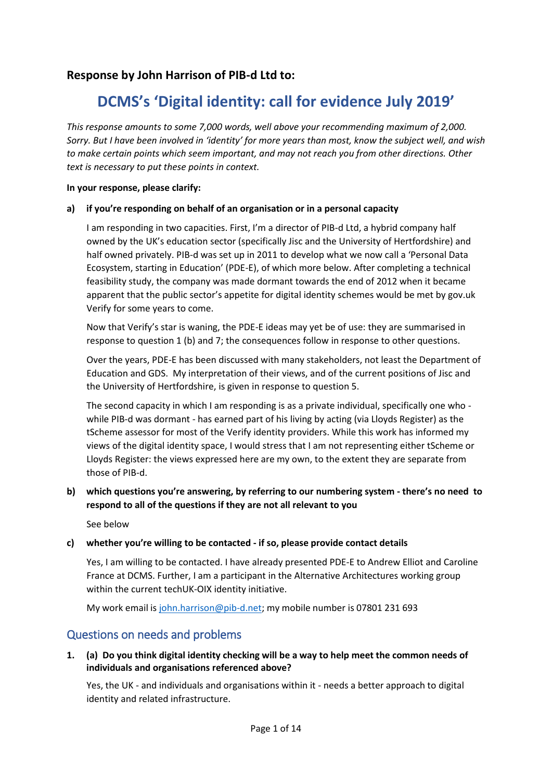## **Response by John Harrison of PIB-d Ltd to:**

# **DCMS's 'Digital identity: call for evidence July 2019'**

*This response amounts to some 7,000 words, well above your recommending maximum of 2,000. Sorry. But I have been involved in 'identity' for more years than most, know the subject well, and wish to make certain points which seem important, and may not reach you from other directions. Other text is necessary to put these points in context.*

#### **In your response, please clarify:**

#### **a) if you're responding on behalf of an organisation or in a personal capacity**

I am responding in two capacities. First, I'm a director of PIB-d Ltd, a hybrid company half owned by the UK's education sector (specifically Jisc and the University of Hertfordshire) and half owned privately. PIB-d was set up in 2011 to develop what we now call a 'Personal Data Ecosystem, starting in Education' (PDE-E), of which more below. After completing a technical feasibility study, the company was made dormant towards the end of 2012 when it became apparent that the public sector's appetite for digital identity schemes would be met by gov.uk Verify for some years to come.

Now that Verify's star is waning, the PDE-E ideas may yet be of use: they are summarised in response to question 1 (b) and 7; the consequences follow in response to other questions.

Over the years, PDE-E has been discussed with many stakeholders, not least the Department of Education and GDS. My interpretation of their views, and of the current positions of Jisc and the University of Hertfordshire, is given in response to question 5.

The second capacity in which I am responding is as a private individual, specifically one who while PIB-d was dormant - has earned part of his living by acting (via Lloyds Register) as the tScheme assessor for most of the Verify identity providers. While this work has informed my views of the digital identity space, I would stress that I am not representing either tScheme or Lloyds Register: the views expressed here are my own, to the extent they are separate from those of PIB-d.

**b) which questions you're answering, by referring to our numbering system - there's no need to respond to all of the questions if they are not all relevant to you**

See below

#### **c) whether you're willing to be contacted - if so, please provide contact details**

Yes, I am willing to be contacted. I have already presented PDE-E to Andrew Elliot and Caroline France at DCMS. Further, I am a participant in the Alternative Architectures working group within the current techUK-OIX identity initiative.

My work email i[s john.harrison@pib-d.net;](mailto:john.harrison@pib-d.net) my mobile number is 07801 231 693

## Questions on needs and problems

#### **1. (a) Do you think digital identity checking will be a way to help meet the common needs of individuals and organisations referenced above?**

Yes, the UK - and individuals and organisations within it - needs a better approach to digital identity and related infrastructure.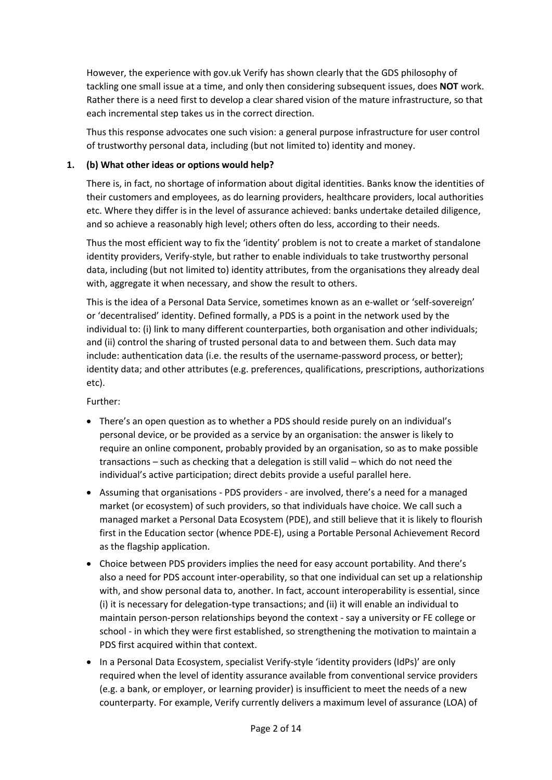However, the experience with gov.uk Verify has shown clearly that the GDS philosophy of tackling one small issue at a time, and only then considering subsequent issues, does **NOT** work. Rather there is a need first to develop a clear shared vision of the mature infrastructure, so that each incremental step takes us in the correct direction.

Thus this response advocates one such vision: a general purpose infrastructure for user control of trustworthy personal data, including (but not limited to) identity and money.

#### **1. (b) What other ideas or options would help?**

There is, in fact, no shortage of information about digital identities. Banks know the identities of their customers and employees, as do learning providers, healthcare providers, local authorities etc. Where they differ is in the level of assurance achieved: banks undertake detailed diligence, and so achieve a reasonably high level; others often do less, according to their needs.

Thus the most efficient way to fix the 'identity' problem is not to create a market of standalone identity providers, Verify-style, but rather to enable individuals to take trustworthy personal data, including (but not limited to) identity attributes, from the organisations they already deal with, aggregate it when necessary, and show the result to others.

This is the idea of a Personal Data Service, sometimes known as an e-wallet or 'self-sovereign' or 'decentralised' identity. Defined formally, a PDS is a point in the network used by the individual to: (i) link to many different counterparties, both organisation and other individuals; and (ii) control the sharing of trusted personal data to and between them. Such data may include: authentication data (i.e. the results of the username-password process, or better); identity data; and other attributes (e.g. preferences, qualifications, prescriptions, authorizations etc).

Further:

- There's an open question as to whether a PDS should reside purely on an individual's personal device, or be provided as a service by an organisation: the answer is likely to require an online component, probably provided by an organisation, so as to make possible transactions – such as checking that a delegation is still valid – which do not need the individual's active participation; direct debits provide a useful parallel here.
- Assuming that organisations PDS providers are involved, there's a need for a managed market (or ecosystem) of such providers, so that individuals have choice. We call such a managed market a Personal Data Ecosystem (PDE), and still believe that it is likely to flourish first in the Education sector (whence PDE-E), using a Portable Personal Achievement Record as the flagship application.
- Choice between PDS providers implies the need for easy account portability. And there's also a need for PDS account inter-operability, so that one individual can set up a relationship with, and show personal data to, another. In fact, account interoperability is essential, since (i) it is necessary for delegation-type transactions; and (ii) it will enable an individual to maintain person-person relationships beyond the context - say a university or FE college or school - in which they were first established, so strengthening the motivation to maintain a PDS first acquired within that context.
- In a Personal Data Ecosystem, specialist Verify-style 'identity providers (IdPs)' are only required when the level of identity assurance available from conventional service providers (e.g. a bank, or employer, or learning provider) is insufficient to meet the needs of a new counterparty. For example, Verify currently delivers a maximum level of assurance (LOA) of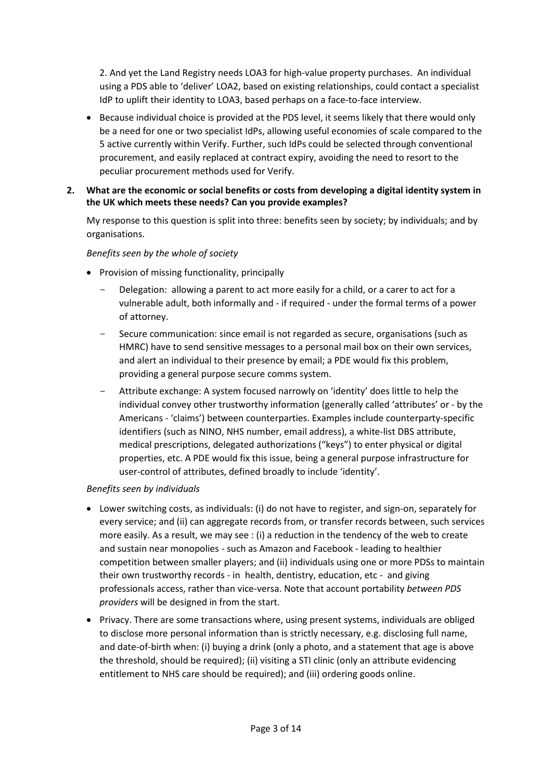2. And yet the Land Registry needs LOA3 for high-value property purchases. An individual using a PDS able to 'deliver' LOA2, based on existing relationships, could contact a specialist IdP to uplift their identity to LOA3, based perhaps on a face-to-face interview.

- Because individual choice is provided at the PDS level, it seems likely that there would only be a need for one or two specialist IdPs, allowing useful economies of scale compared to the 5 active currently within Verify. Further, such IdPs could be selected through conventional procurement, and easily replaced at contract expiry, avoiding the need to resort to the peculiar procurement methods used for Verify.
- **2. What are the economic or social benefits or costs from developing a digital identity system in the UK which meets these needs? Can you provide examples?**

My response to this question is split into three: benefits seen by society; by individuals; and by organisations.

#### *Benefits seen by the whole of society*

- Provision of missing functionality, principally
	- Delegation: allowing a parent to act more easily for a child, or a carer to act for a vulnerable adult, both informally and - if required - under the formal terms of a power of attorney.
	- Secure communication: since email is not regarded as secure, organisations (such as HMRC) have to send sensitive messages to a personal mail box on their own services, and alert an individual to their presence by email; a PDE would fix this problem, providing a general purpose secure comms system.
	- Attribute exchange: A system focused narrowly on 'identity' does little to help the individual convey other trustworthy information (generally called 'attributes' or - by the Americans - 'claims') between counterparties. Examples include counterparty-specific identifiers (such as NINO, NHS number, email address), a white-list DBS attribute, medical prescriptions, delegated authorizations ("keys") to enter physical or digital properties, etc. A PDE would fix this issue, being a general purpose infrastructure for user-control of attributes, defined broadly to include 'identity'.

#### *Benefits seen by individuals*

- Lower switching costs, as individuals: (i) do not have to register, and sign-on, separately for every service; and (ii) can aggregate records from, or transfer records between, such services more easily. As a result, we may see : (i) a reduction in the tendency of the web to create and sustain near monopolies - such as Amazon and Facebook - leading to healthier competition between smaller players; and (ii) individuals using one or more PDSs to maintain their own trustworthy records - in health, dentistry, education, etc - and giving professionals access, rather than vice-versa. Note that account portability *between PDS providers* will be designed in from the start.
- Privacy. There are some transactions where, using present systems, individuals are obliged to disclose more personal information than is strictly necessary, e.g. disclosing full name, and date-of-birth when: (i) buying a drink (only a photo, and a statement that age is above the threshold, should be required); (ii) visiting a STI clinic (only an attribute evidencing entitlement to NHS care should be required); and (iii) ordering goods online.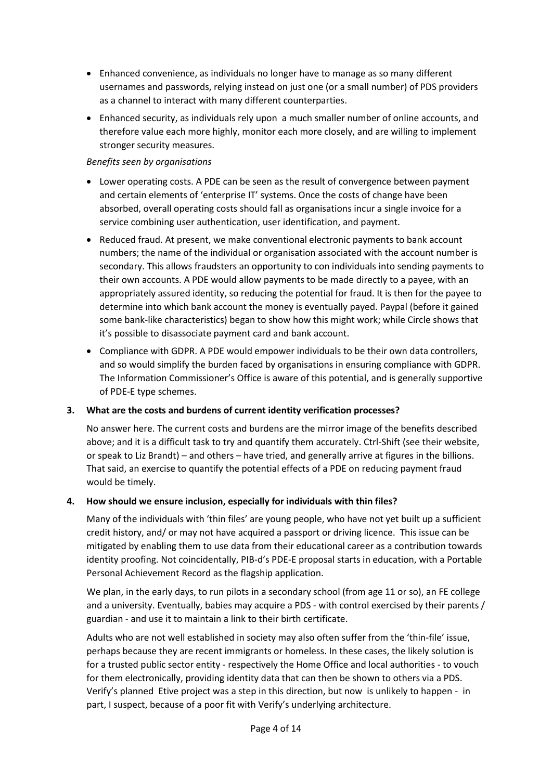- Enhanced convenience, as individuals no longer have to manage as so many different usernames and passwords, relying instead on just one (or a small number) of PDS providers as a channel to interact with many different counterparties.
- Enhanced security, as individuals rely upon a much smaller number of online accounts, and therefore value each more highly, monitor each more closely, and are willing to implement stronger security measures.

#### *Benefits seen by organisations*

- Lower operating costs. A PDE can be seen as the result of convergence between payment and certain elements of 'enterprise IT' systems. Once the costs of change have been absorbed, overall operating costs should fall as organisations incur a single invoice for a service combining user authentication, user identification, and payment.
- Reduced fraud. At present, we make conventional electronic payments to bank account numbers; the name of the individual or organisation associated with the account number is secondary. This allows fraudsters an opportunity to con individuals into sending payments to their own accounts. A PDE would allow payments to be made directly to a payee, with an appropriately assured identity, so reducing the potential for fraud. It is then for the payee to determine into which bank account the money is eventually payed. Paypal (before it gained some bank-like characteristics) began to show how this might work; while Circle shows that it's possible to disassociate payment card and bank account.
- Compliance with GDPR. A PDE would empower individuals to be their own data controllers, and so would simplify the burden faced by organisations in ensuring compliance with GDPR. The Information Commissioner's Office is aware of this potential, and is generally supportive of PDE-E type schemes.

#### **3. What are the costs and burdens of current identity verification processes?**

No answer here. The current costs and burdens are the mirror image of the benefits described above; and it is a difficult task to try and quantify them accurately. Ctrl-Shift (see their website, or speak to Liz Brandt) – and others – have tried, and generally arrive at figures in the billions. That said, an exercise to quantify the potential effects of a PDE on reducing payment fraud would be timely.

#### **4. How should we ensure inclusion, especially for individuals with thin files?**

Many of the individuals with 'thin files' are young people, who have not yet built up a sufficient credit history, and/ or may not have acquired a passport or driving licence. This issue can be mitigated by enabling them to use data from their educational career as a contribution towards identity proofing. Not coincidentally, PIB-d's PDE-E proposal starts in education, with a Portable Personal Achievement Record as the flagship application.

We plan, in the early days, to run pilots in a secondary school (from age 11 or so), an FE college and a university. Eventually, babies may acquire a PDS - with control exercised by their parents / guardian - and use it to maintain a link to their birth certificate.

Adults who are not well established in society may also often suffer from the 'thin-file' issue, perhaps because they are recent immigrants or homeless. In these cases, the likely solution is for a trusted public sector entity - respectively the Home Office and local authorities - to vouch for them electronically, providing identity data that can then be shown to others via a PDS. Verify's planned Etive project was a step in this direction, but now is unlikely to happen - in part, I suspect, because of a poor fit with Verify's underlying architecture.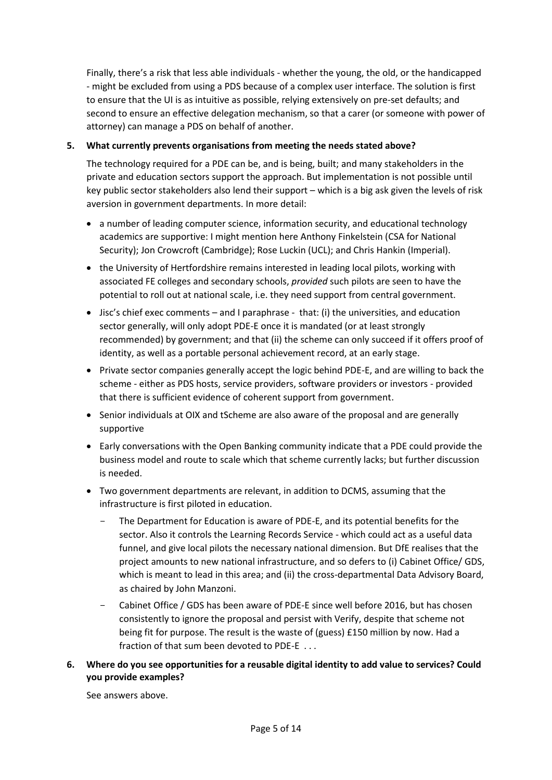Finally, there's a risk that less able individuals - whether the young, the old, or the handicapped - might be excluded from using a PDS because of a complex user interface. The solution is first to ensure that the UI is as intuitive as possible, relying extensively on pre-set defaults; and second to ensure an effective delegation mechanism, so that a carer (or someone with power of attorney) can manage a PDS on behalf of another.

#### **5. What currently prevents organisations from meeting the needs stated above?**

The technology required for a PDE can be, and is being, built; and many stakeholders in the private and education sectors support the approach. But implementation is not possible until key public sector stakeholders also lend their support – which is a big ask given the levels of risk aversion in government departments. In more detail:

- a number of leading computer science, information security, and educational technology academics are supportive: I might mention here Anthony Finkelstein (CSA for National Security); Jon Crowcroft (Cambridge); Rose Luckin (UCL); and Chris Hankin (Imperial).
- the University of Hertfordshire remains interested in leading local pilots, working with associated FE colleges and secondary schools, *provided* such pilots are seen to have the potential to roll out at national scale, i.e. they need support from central government.
- $\bullet$  Jisc's chief exec comments and I paraphrase that: (i) the universities, and education sector generally, will only adopt PDE-E once it is mandated (or at least strongly recommended) by government; and that (ii) the scheme can only succeed if it offers proof of identity, as well as a portable personal achievement record, at an early stage.
- Private sector companies generally accept the logic behind PDE-E, and are willing to back the scheme - either as PDS hosts, service providers, software providers or investors - provided that there is sufficient evidence of coherent support from government.
- Senior individuals at OIX and tScheme are also aware of the proposal and are generally supportive
- Early conversations with the Open Banking community indicate that a PDE could provide the business model and route to scale which that scheme currently lacks; but further discussion is needed.
- Two government departments are relevant, in addition to DCMS, assuming that the infrastructure is first piloted in education.
	- The Department for Education is aware of PDE-E, and its potential benefits for the sector. Also it controls the Learning Records Service - which could act as a useful data funnel, and give local pilots the necessary national dimension. But DfE realises that the project amounts to new national infrastructure, and so defers to (i) Cabinet Office/ GDS, which is meant to lead in this area; and (ii) the cross-departmental Data Advisory Board, as chaired by John Manzoni.
	- Cabinet Office / GDS has been aware of PDE-E since well before 2016, but has chosen consistently to ignore the proposal and persist with Verify, despite that scheme not being fit for purpose. The result is the waste of (guess) £150 million by now. Had a fraction of that sum been devoted to PDE-E . . .

#### **6. Where do you see opportunities for a reusable digital identity to add value to services? Could you provide examples?**

See answers above.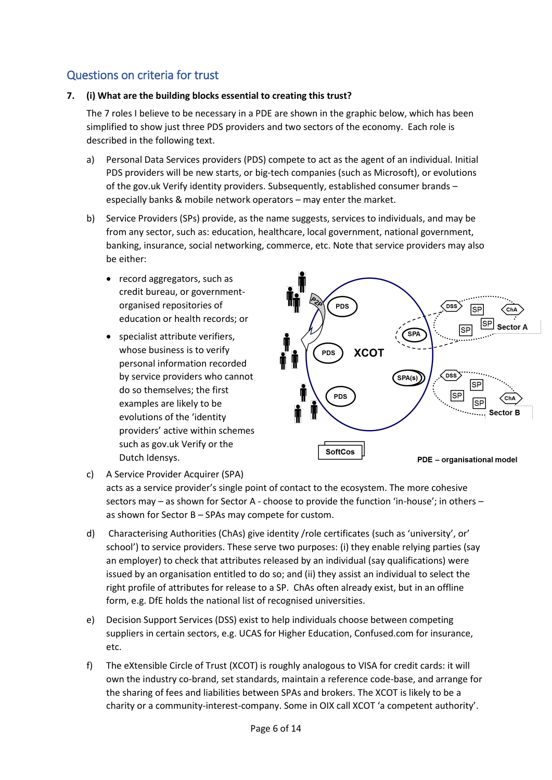# Questions on criteria for trust

#### **7. (i) What are the building blocks essential to creating this trust?**

The 7 roles I believe to be necessary in a PDE are shown in the graphic below, which has been simplified to show just three PDS providers and two sectors of the economy. Each role is described in the following text.

- a) Personal Data Services providers (PDS) compete to act as the agent of an individual. Initial PDS providers will be new starts, or big-tech companies (such as Microsoft), or evolutions of the gov.uk Verify identity providers. Subsequently, established consumer brands – especially banks & mobile network operators – may enter the market.
- b) Service Providers (SPs) provide, as the name suggests, services to individuals, and may be from any sector, such as: education, healthcare, local government, national government, banking, insurance, social networking, commerce, etc. Note that service providers may also be either:
	- record aggregators, such as credit bureau, or governmentorganised repositories of education or health records; or
	- specialist attribute verifiers, whose business is to verify personal information recorded by service providers who cannot do so themselves; the first examples are likely to be evolutions of the 'identity providers' active within schemes such as gov.uk Verify or the Dutch Idensys.



c) A Service Provider Acquirer (SPA)

acts as a service provider's single point of contact to the ecosystem. The more cohesive sectors may – as shown for Sector A - choose to provide the function 'in-house'; in others – as shown for Sector B – SPAs may compete for custom.

- d) Characterising Authorities (ChAs) give identity /role certificates (such as 'university', or' school') to service providers. These serve two purposes: (i) they enable relying parties (say an employer) to check that attributes released by an individual (say qualifications) were issued by an organisation entitled to do so; and (ii) they assist an individual to select the right profile of attributes for release to a SP. ChAs often already exist, but in an offline form, e.g. DfE holds the national list of recognised universities.
- e) Decision Support Services (DSS) exist to help individuals choose between competing suppliers in certain sectors, e.g. UCAS for Higher Education, Confused.com for insurance, etc.
- f) The eXtensible Circle of Trust (XCOT) is roughly analogous to VISA for credit cards: it will own the industry co-brand, set standards, maintain a reference code-base, and arrange for the sharing of fees and liabilities between SPAs and brokers. The XCOT is likely to be a charity or a community-interest-company. Some in OIX call XCOT 'a competent authority'.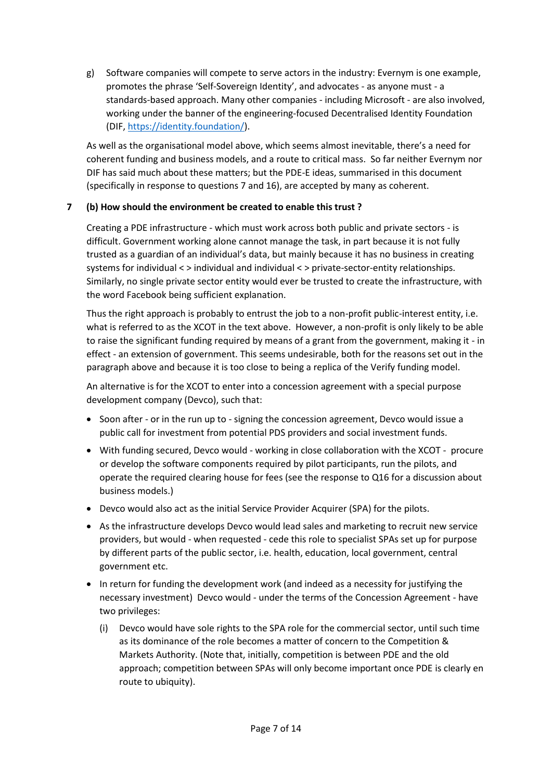g) Software companies will compete to serve actors in the industry: Evernym is one example, promotes the phrase 'Self-Sovereign Identity', and advocates - as anyone must - a standards-based approach. Many other companies - including Microsoft - are also involved, working under the banner of the engineering-focused Decentralised Identity Foundation (DIF[, https://identity.foundation/\)](https://identity.foundation/).

As well as the organisational model above, which seems almost inevitable, there's a need for coherent funding and business models, and a route to critical mass. So far neither Evernym nor DIF has said much about these matters; but the PDE-E ideas, summarised in this document (specifically in response to questions 7 and 16), are accepted by many as coherent.

#### **7 (b) How should the environment be created to enable this trust ?**

Creating a PDE infrastructure - which must work across both public and private sectors - is difficult. Government working alone cannot manage the task, in part because it is not fully trusted as a guardian of an individual's data, but mainly because it has no business in creating systems for individual < > individual and individual < > private-sector-entity relationships. Similarly, no single private sector entity would ever be trusted to create the infrastructure, with the word Facebook being sufficient explanation.

Thus the right approach is probably to entrust the job to a non-profit public-interest entity, i.e. what is referred to as the XCOT in the text above. However, a non-profit is only likely to be able to raise the significant funding required by means of a grant from the government, making it - in effect - an extension of government. This seems undesirable, both for the reasons set out in the paragraph above and because it is too close to being a replica of the Verify funding model.

An alternative is for the XCOT to enter into a concession agreement with a special purpose development company (Devco), such that:

- Soon after or in the run up to signing the concession agreement, Devco would issue a public call for investment from potential PDS providers and social investment funds.
- With funding secured, Devco would working in close collaboration with the XCOT procure or develop the software components required by pilot participants, run the pilots, and operate the required clearing house for fees (see the response to Q16 for a discussion about business models.)
- Devco would also act as the initial Service Provider Acquirer (SPA) for the pilots.
- As the infrastructure develops Devco would lead sales and marketing to recruit new service providers, but would - when requested - cede this role to specialist SPAs set up for purpose by different parts of the public sector, i.e. health, education, local government, central government etc.
- In return for funding the development work (and indeed as a necessity for justifying the necessary investment) Devco would - under the terms of the Concession Agreement - have two privileges:
	- (i) Devco would have sole rights to the SPA role for the commercial sector, until such time as its dominance of the role becomes a matter of concern to the Competition & Markets Authority. (Note that, initially, competition is between PDE and the old approach; competition between SPAs will only become important once PDE is clearly en route to ubiquity).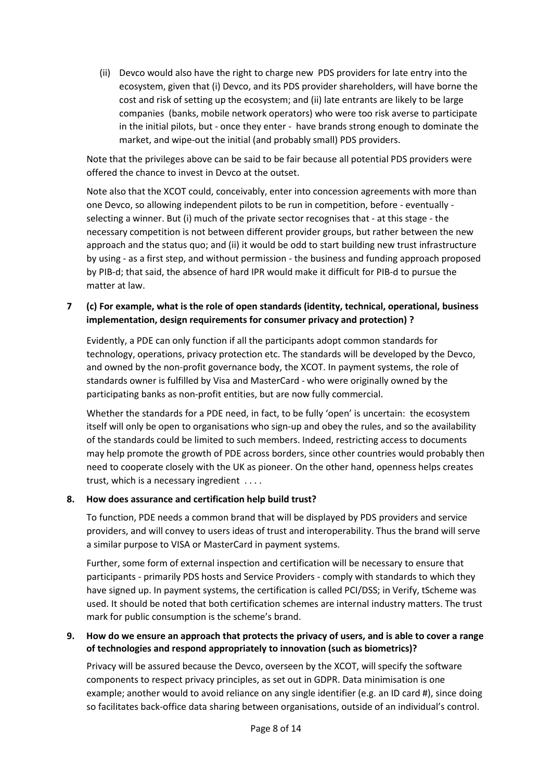(ii) Devco would also have the right to charge new PDS providers for late entry into the ecosystem, given that (i) Devco, and its PDS provider shareholders, will have borne the cost and risk of setting up the ecosystem; and (ii) late entrants are likely to be large companies (banks, mobile network operators) who were too risk averse to participate in the initial pilots, but - once they enter - have brands strong enough to dominate the market, and wipe-out the initial (and probably small) PDS providers.

Note that the privileges above can be said to be fair because all potential PDS providers were offered the chance to invest in Devco at the outset.

Note also that the XCOT could, conceivably, enter into concession agreements with more than one Devco, so allowing independent pilots to be run in competition, before - eventually selecting a winner. But (i) much of the private sector recognises that - at this stage - the necessary competition is not between different provider groups, but rather between the new approach and the status quo; and (ii) it would be odd to start building new trust infrastructure by using - as a first step, and without permission - the business and funding approach proposed by PIB-d; that said, the absence of hard IPR would make it difficult for PIB-d to pursue the matter at law.

#### **7 (c) For example, what is the role of open standards (identity, technical, operational, business implementation, design requirements for consumer privacy and protection) ?**

Evidently, a PDE can only function if all the participants adopt common standards for technology, operations, privacy protection etc. The standards will be developed by the Devco, and owned by the non-profit governance body, the XCOT. In payment systems, the role of standards owner is fulfilled by Visa and MasterCard - who were originally owned by the participating banks as non-profit entities, but are now fully commercial.

Whether the standards for a PDE need, in fact, to be fully 'open' is uncertain: the ecosystem itself will only be open to organisations who sign-up and obey the rules, and so the availability of the standards could be limited to such members. Indeed, restricting access to documents may help promote the growth of PDE across borders, since other countries would probably then need to cooperate closely with the UK as pioneer. On the other hand, openness helps creates trust, which is a necessary ingredient . . . .

#### **8. How does assurance and certification help build trust?**

To function, PDE needs a common brand that will be displayed by PDS providers and service providers, and will convey to users ideas of trust and interoperability. Thus the brand will serve a similar purpose to VISA or MasterCard in payment systems.

Further, some form of external inspection and certification will be necessary to ensure that participants - primarily PDS hosts and Service Providers - comply with standards to which they have signed up. In payment systems, the certification is called PCI/DSS; in Verify, tScheme was used. It should be noted that both certification schemes are internal industry matters. The trust mark for public consumption is the scheme's brand.

#### **9. How do we ensure an approach that protects the privacy of users, and is able to cover a range of technologies and respond appropriately to innovation (such as biometrics)?**

Privacy will be assured because the Devco, overseen by the XCOT, will specify the software components to respect privacy principles, as set out in GDPR. Data minimisation is one example; another would to avoid reliance on any single identifier (e.g. an ID card #), since doing so facilitates back-office data sharing between organisations, outside of an individual's control.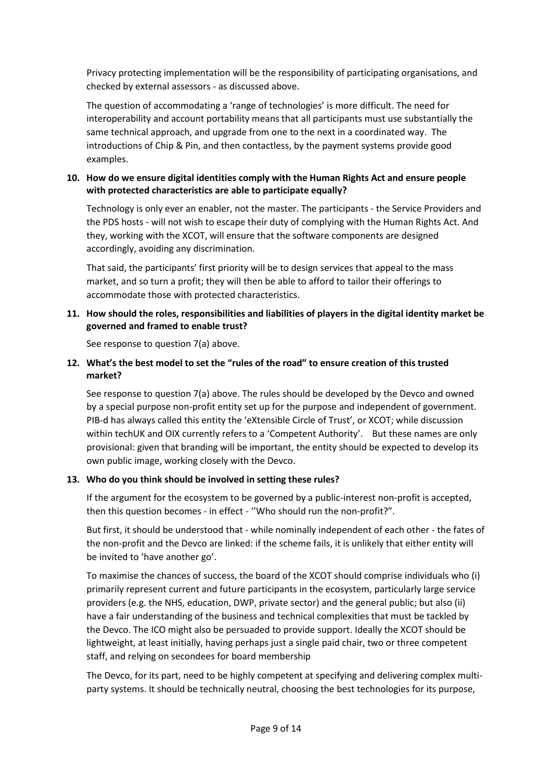Privacy protecting implementation will be the responsibility of participating organisations, and checked by external assessors - as discussed above.

The question of accommodating a 'range of technologies' is more difficult. The need for interoperability and account portability means that all participants must use substantially the same technical approach, and upgrade from one to the next in a coordinated way. The introductions of Chip & Pin, and then contactless, by the payment systems provide good examples.

#### **10. How do we ensure digital identities comply with the Human Rights Act and ensure people with protected characteristics are able to participate equally?**

Technology is only ever an enabler, not the master. The participants - the Service Providers and the PDS hosts - will not wish to escape their duty of complying with the Human Rights Act. And they, working with the XCOT, will ensure that the software components are designed accordingly, avoiding any discrimination.

That said, the participants' first priority will be to design services that appeal to the mass market, and so turn a profit; they will then be able to afford to tailor their offerings to accommodate those with protected characteristics.

#### **11. How should the roles, responsibilities and liabilities of players in the digital identity market be governed and framed to enable trust?**

See response to question 7(a) above.

#### **12. What's the best model to set the "rules of the road" to ensure creation of this trusted market?**

See response to question 7(a) above. The rules should be developed by the Devco and owned by a special purpose non-profit entity set up for the purpose and independent of government. PIB-d has always called this entity the 'eXtensible Circle of Trust', or XCOT; while discussion within techUK and OIX currently refers to a 'Competent Authority'. But these names are only provisional: given that branding will be important, the entity should be expected to develop its own public image, working closely with the Devco.

#### **13. Who do you think should be involved in setting these rules?**

If the argument for the ecosystem to be governed by a public-interest non-profit is accepted, then this question becomes - in effect - ''Who should run the non-profit?".

But first, it should be understood that - while nominally independent of each other - the fates of the non-profit and the Devco are linked: if the scheme fails, it is unlikely that either entity will be invited to 'have another go'.

To maximise the chances of success, the board of the XCOT should comprise individuals who (i) primarily represent current and future participants in the ecosystem, particularly large service providers (e.g. the NHS, education, DWP, private sector) and the general public; but also (ii) have a fair understanding of the business and technical complexities that must be tackled by the Devco. The ICO might also be persuaded to provide support. Ideally the XCOT should be lightweight, at least initially, having perhaps just a single paid chair, two or three competent staff, and relying on secondees for board membership

The Devco, for its part, need to be highly competent at specifying and delivering complex multiparty systems. It should be technically neutral, choosing the best technologies for its purpose,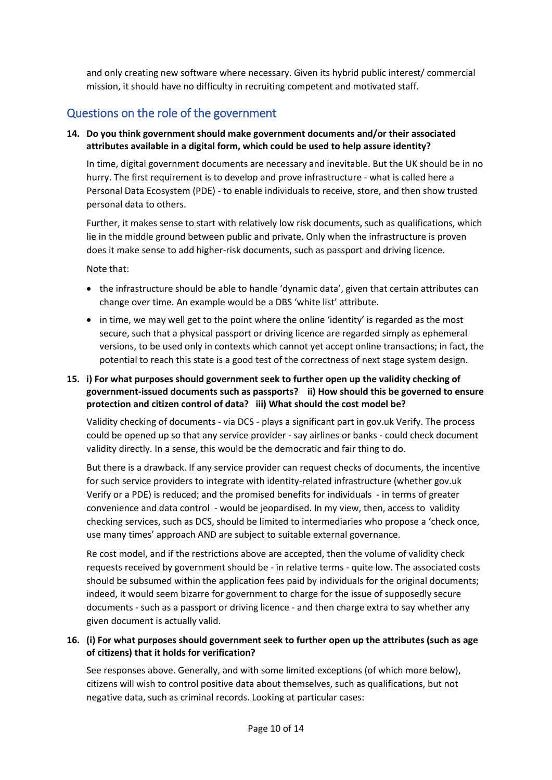and only creating new software where necessary. Given its hybrid public interest/ commercial mission, it should have no difficulty in recruiting competent and motivated staff.

## Questions on the role of the government

#### **14. Do you think government should make government documents and/or their associated attributes available in a digital form, which could be used to help assure identity?**

In time, digital government documents are necessary and inevitable. But the UK should be in no hurry. The first requirement is to develop and prove infrastructure - what is called here a Personal Data Ecosystem (PDE) - to enable individuals to receive, store, and then show trusted personal data to others.

Further, it makes sense to start with relatively low risk documents, such as qualifications, which lie in the middle ground between public and private. Only when the infrastructure is proven does it make sense to add higher-risk documents, such as passport and driving licence.

Note that:

- the infrastructure should be able to handle 'dynamic data', given that certain attributes can change over time. An example would be a DBS 'white list' attribute.
- $\bullet$  in time, we may well get to the point where the online 'identity' is regarded as the most secure, such that a physical passport or driving licence are regarded simply as ephemeral versions, to be used only in contexts which cannot yet accept online transactions; in fact, the potential to reach this state is a good test of the correctness of next stage system design.

#### **15. i) For what purposes should government seek to further open up the validity checking of government-issued documents such as passports? ii) How should this be governed to ensure protection and citizen control of data? iii) What should the cost model be?**

Validity checking of documents - via DCS - plays a significant part in gov.uk Verify. The process could be opened up so that any service provider - say airlines or banks - could check document validity directly. In a sense, this would be the democratic and fair thing to do.

But there is a drawback. If any service provider can request checks of documents, the incentive for such service providers to integrate with identity-related infrastructure (whether gov.uk Verify or a PDE) is reduced; and the promised benefits for individuals - in terms of greater convenience and data control - would be jeopardised. In my view, then, access to validity checking services, such as DCS, should be limited to intermediaries who propose a 'check once, use many times' approach AND are subject to suitable external governance.

Re cost model, and if the restrictions above are accepted, then the volume of validity check requests received by government should be - in relative terms - quite low. The associated costs should be subsumed within the application fees paid by individuals for the original documents; indeed, it would seem bizarre for government to charge for the issue of supposedly secure documents - such as a passport or driving licence - and then charge extra to say whether any given document is actually valid.

#### **16. (i) For what purposes should government seek to further open up the attributes (such as age of citizens) that it holds for verification?**

See responses above. Generally, and with some limited exceptions (of which more below), citizens will wish to control positive data about themselves, such as qualifications, but not negative data, such as criminal records. Looking at particular cases: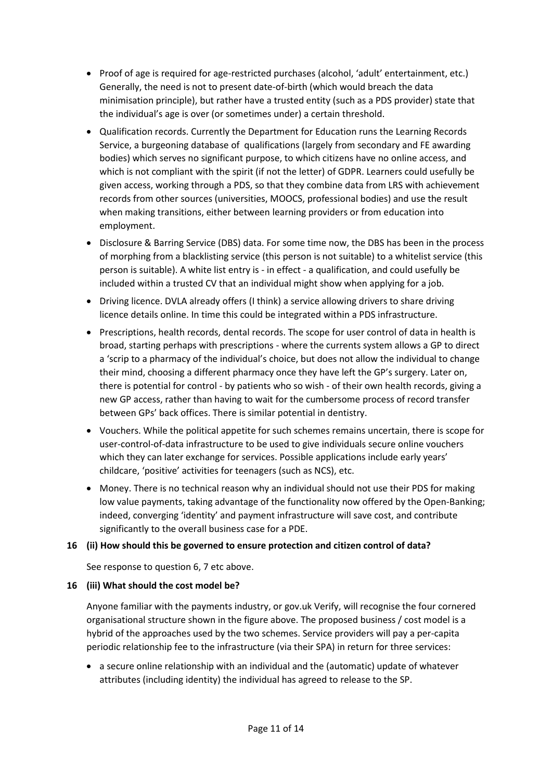- Proof of age is required for age-restricted purchases (alcohol, 'adult' entertainment, etc.) Generally, the need is not to present date-of-birth (which would breach the data minimisation principle), but rather have a trusted entity (such as a PDS provider) state that the individual's age is over (or sometimes under) a certain threshold.
- Qualification records. Currently the Department for Education runs the Learning Records Service, a burgeoning database of qualifications (largely from secondary and FE awarding bodies) which serves no significant purpose, to which citizens have no online access, and which is not compliant with the spirit (if not the letter) of GDPR. Learners could usefully be given access, working through a PDS, so that they combine data from LRS with achievement records from other sources (universities, MOOCS, professional bodies) and use the result when making transitions, either between learning providers or from education into employment.
- Disclosure & Barring Service (DBS) data. For some time now, the DBS has been in the process of morphing from a blacklisting service (this person is not suitable) to a whitelist service (this person is suitable). A white list entry is - in effect - a qualification, and could usefully be included within a trusted CV that an individual might show when applying for a job.
- Driving licence. DVLA already offers (I think) a service allowing drivers to share driving licence details online. In time this could be integrated within a PDS infrastructure.
- Prescriptions, health records, dental records. The scope for user control of data in health is broad, starting perhaps with prescriptions - where the currents system allows a GP to direct a 'scrip to a pharmacy of the individual's choice, but does not allow the individual to change their mind, choosing a different pharmacy once they have left the GP's surgery. Later on, there is potential for control - by patients who so wish - of their own health records, giving a new GP access, rather than having to wait for the cumbersome process of record transfer between GPs' back offices. There is similar potential in dentistry.
- Vouchers. While the political appetite for such schemes remains uncertain, there is scope for user-control-of-data infrastructure to be used to give individuals secure online vouchers which they can later exchange for services. Possible applications include early years' childcare, 'positive' activities for teenagers (such as NCS), etc.
- Money. There is no technical reason why an individual should not use their PDS for making low value payments, taking advantage of the functionality now offered by the Open-Banking; indeed, converging 'identity' and payment infrastructure will save cost, and contribute significantly to the overall business case for a PDE.

#### **16 (ii) How should this be governed to ensure protection and citizen control of data?**

See response to question 6, 7 etc above.

#### **16 (iii) What should the cost model be?**

Anyone familiar with the payments industry, or gov.uk Verify, will recognise the four cornered organisational structure shown in the figure above. The proposed business / cost model is a hybrid of the approaches used by the two schemes. Service providers will pay a per-capita periodic relationship fee to the infrastructure (via their SPA) in return for three services:

• a secure online relationship with an individual and the (automatic) update of whatever attributes (including identity) the individual has agreed to release to the SP.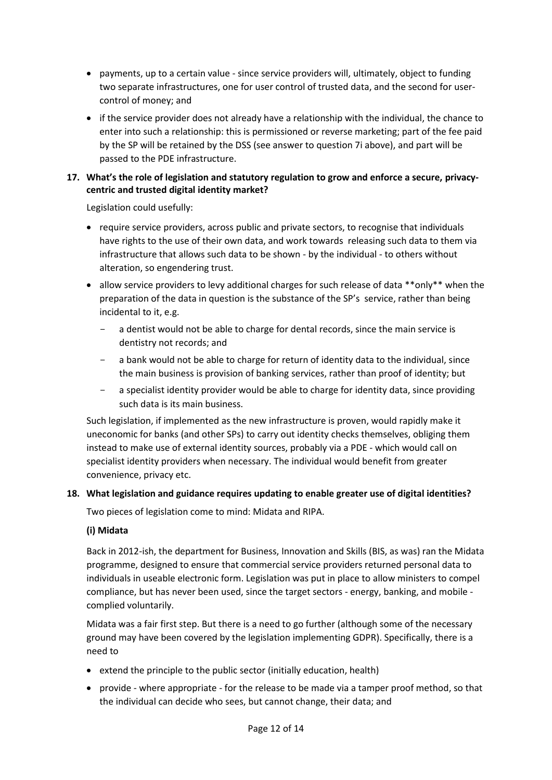- payments, up to a certain value since service providers will, ultimately, object to funding two separate infrastructures, one for user control of trusted data, and the second for usercontrol of money; and
- if the service provider does not already have a relationship with the individual, the chance to enter into such a relationship: this is permissioned or reverse marketing; part of the fee paid by the SP will be retained by the DSS (see answer to question 7i above), and part will be passed to the PDE infrastructure.

#### **17. What's the role of legislation and statutory regulation to grow and enforce a secure, privacycentric and trusted digital identity market?**

Legislation could usefully:

- require service providers, across public and private sectors, to recognise that individuals have rights to the use of their own data, and work towards releasing such data to them via infrastructure that allows such data to be shown - by the individual - to others without alteration, so engendering trust.
- allow service providers to levy additional charges for such release of data \*\*only\*\* when the preparation of the data in question is the substance of the SP's service, rather than being incidental to it, e.g.
	- a dentist would not be able to charge for dental records, since the main service is dentistry not records; and
	- a bank would not be able to charge for return of identity data to the individual, since the main business is provision of banking services, rather than proof of identity; but
	- a specialist identity provider would be able to charge for identity data, since providing such data is its main business.

Such legislation, if implemented as the new infrastructure is proven, would rapidly make it uneconomic for banks (and other SPs) to carry out identity checks themselves, obliging them instead to make use of external identity sources, probably via a PDE - which would call on specialist identity providers when necessary. The individual would benefit from greater convenience, privacy etc.

#### **18. What legislation and guidance requires updating to enable greater use of digital identities?**

Two pieces of legislation come to mind: Midata and RIPA.

#### **(i) Midata**

Back in 2012-ish, the department for Business, Innovation and Skills (BIS, as was) ran the Midata programme, designed to ensure that commercial service providers returned personal data to individuals in useable electronic form. Legislation was put in place to allow ministers to compel compliance, but has never been used, since the target sectors - energy, banking, and mobile complied voluntarily.

Midata was a fair first step. But there is a need to go further (although some of the necessary ground may have been covered by the legislation implementing GDPR). Specifically, there is a need to

- extend the principle to the public sector (initially education, health)
- provide where appropriate for the release to be made via a tamper proof method, so that the individual can decide who sees, but cannot change, their data; and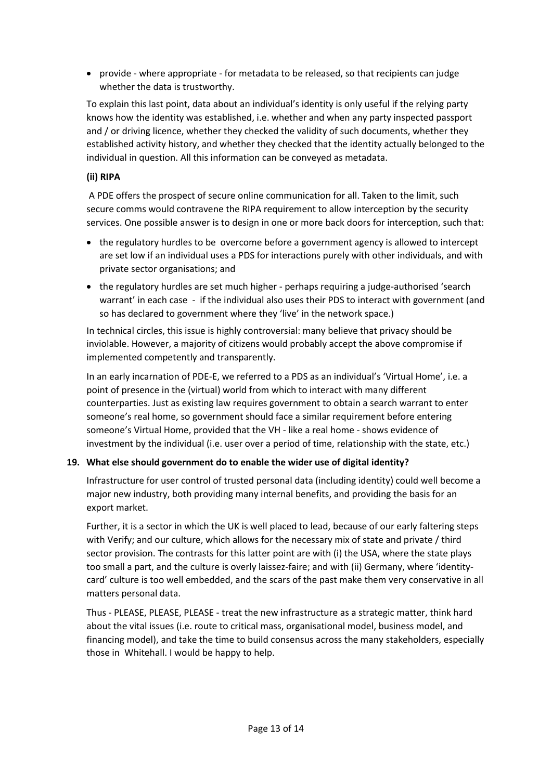• provide - where appropriate - for metadata to be released, so that recipients can judge whether the data is trustworthy.

To explain this last point, data about an individual's identity is only useful if the relying party knows how the identity was established, i.e. whether and when any party inspected passport and / or driving licence, whether they checked the validity of such documents, whether they established activity history, and whether they checked that the identity actually belonged to the individual in question. All this information can be conveyed as metadata.

#### **(ii) RIPA**

A PDE offers the prospect of secure online communication for all. Taken to the limit, such secure comms would contravene the RIPA requirement to allow interception by the security services. One possible answer is to design in one or more back doors for interception, such that:

- the regulatory hurdles to be overcome before a government agency is allowed to intercept are set low if an individual uses a PDS for interactions purely with other individuals, and with private sector organisations; and
- the regulatory hurdles are set much higher perhaps requiring a judge-authorised 'search warrant' in each case - if the individual also uses their PDS to interact with government (and so has declared to government where they 'live' in the network space.)

In technical circles, this issue is highly controversial: many believe that privacy should be inviolable. However, a majority of citizens would probably accept the above compromise if implemented competently and transparently.

In an early incarnation of PDE-E, we referred to a PDS as an individual's 'Virtual Home', i.e. a point of presence in the (virtual) world from which to interact with many different counterparties. Just as existing law requires government to obtain a search warrant to enter someone's real home, so government should face a similar requirement before entering someone's Virtual Home, provided that the VH - like a real home - shows evidence of investment by the individual (i.e. user over a period of time, relationship with the state, etc.)

#### **19. What else should government do to enable the wider use of digital identity?**

Infrastructure for user control of trusted personal data (including identity) could well become a major new industry, both providing many internal benefits, and providing the basis for an export market.

Further, it is a sector in which the UK is well placed to lead, because of our early faltering steps with Verify; and our culture, which allows for the necessary mix of state and private / third sector provision. The contrasts for this latter point are with (i) the USA, where the state plays too small a part, and the culture is overly laissez-faire; and with (ii) Germany, where 'identitycard' culture is too well embedded, and the scars of the past make them very conservative in all matters personal data.

Thus - PLEASE, PLEASE, PLEASE - treat the new infrastructure as a strategic matter, think hard about the vital issues (i.e. route to critical mass, organisational model, business model, and financing model), and take the time to build consensus across the many stakeholders, especially those in Whitehall. I would be happy to help.